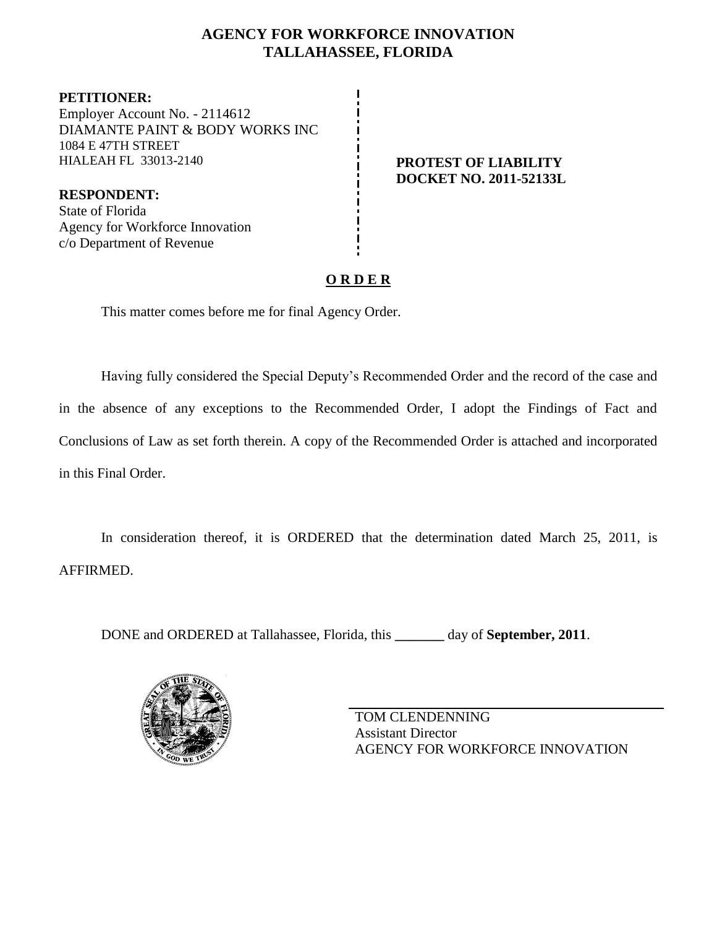## **AGENCY FOR WORKFORCE INNOVATION TALLAHASSEE, FLORIDA**

**PETITIONER:** Employer Account No. - 2114612 DIAMANTE PAINT & BODY WORKS INC 1084 E 47TH STREET HIALEAH FL 33013-2140 **PROTEST OF LIABILITY**

**DOCKET NO. 2011-52133L**

**RESPONDENT:** State of Florida Agency for Workforce Innovation c/o Department of Revenue

# **O R D E R**

This matter comes before me for final Agency Order.

Having fully considered the Special Deputy's Recommended Order and the record of the case and in the absence of any exceptions to the Recommended Order, I adopt the Findings of Fact and Conclusions of Law as set forth therein. A copy of the Recommended Order is attached and incorporated in this Final Order.

In consideration thereof, it is ORDERED that the determination dated March 25, 2011, is AFFIRMED.

DONE and ORDERED at Tallahassee, Florida, this **\_\_\_\_\_\_\_** day of **September, 2011**.



TOM CLENDENNING Assistant Director AGENCY FOR WORKFORCE INNOVATION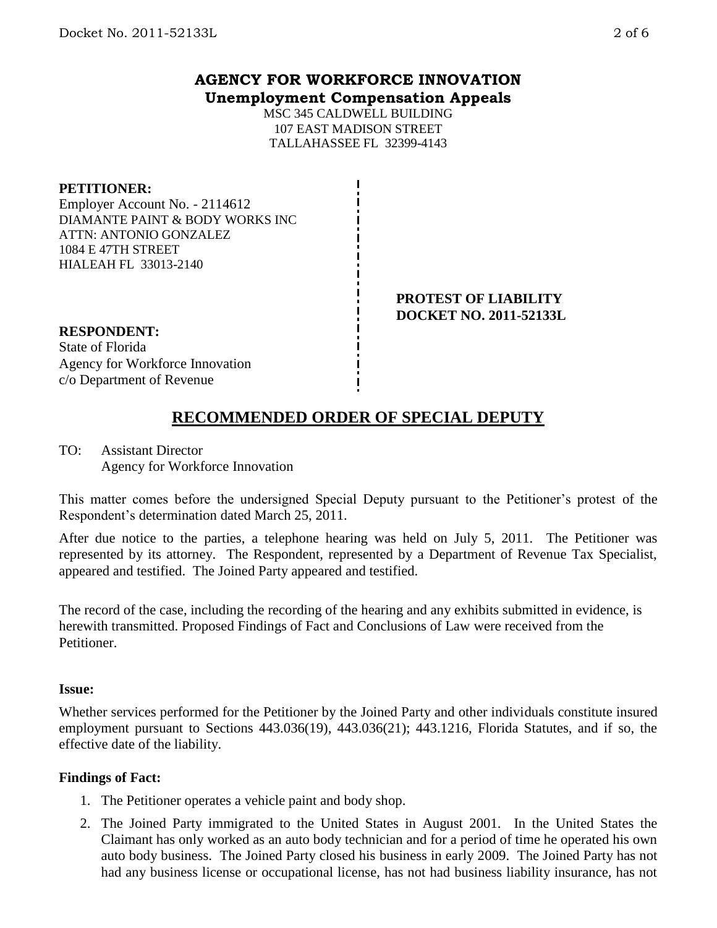## **AGENCY FOR WORKFORCE INNOVATION Unemployment Compensation Appeals**

MSC 345 CALDWELL BUILDING 107 EAST MADISON STREET TALLAHASSEE FL 32399-4143

## **PETITIONER:**

Employer Account No. - 2114612 DIAMANTE PAINT & BODY WORKS INC ATTN: ANTONIO GONZALEZ 1084 E 47TH STREET HIALEAH FL 33013-2140

#### **PROTEST OF LIABILITY DOCKET NO. 2011-52133L**

## **RESPONDENT:**

State of Florida Agency for Workforce Innovation c/o Department of Revenue

# **RECOMMENDED ORDER OF SPECIAL DEPUTY**

TO: Assistant Director Agency for Workforce Innovation

This matter comes before the undersigned Special Deputy pursuant to the Petitioner's protest of the Respondent's determination dated March 25, 2011.

After due notice to the parties, a telephone hearing was held on July 5, 2011. The Petitioner was represented by its attorney. The Respondent, represented by a Department of Revenue Tax Specialist, appeared and testified. The Joined Party appeared and testified.

The record of the case, including the recording of the hearing and any exhibits submitted in evidence, is herewith transmitted. Proposed Findings of Fact and Conclusions of Law were received from the Petitioner.

## **Issue:**

Whether services performed for the Petitioner by the Joined Party and other individuals constitute insured employment pursuant to Sections 443.036(19), 443.036(21); 443.1216, Florida Statutes, and if so, the effective date of the liability.

## **Findings of Fact:**

- 1. The Petitioner operates a vehicle paint and body shop.
- 2. The Joined Party immigrated to the United States in August 2001. In the United States the Claimant has only worked as an auto body technician and for a period of time he operated his own auto body business. The Joined Party closed his business in early 2009. The Joined Party has not had any business license or occupational license, has not had business liability insurance, has not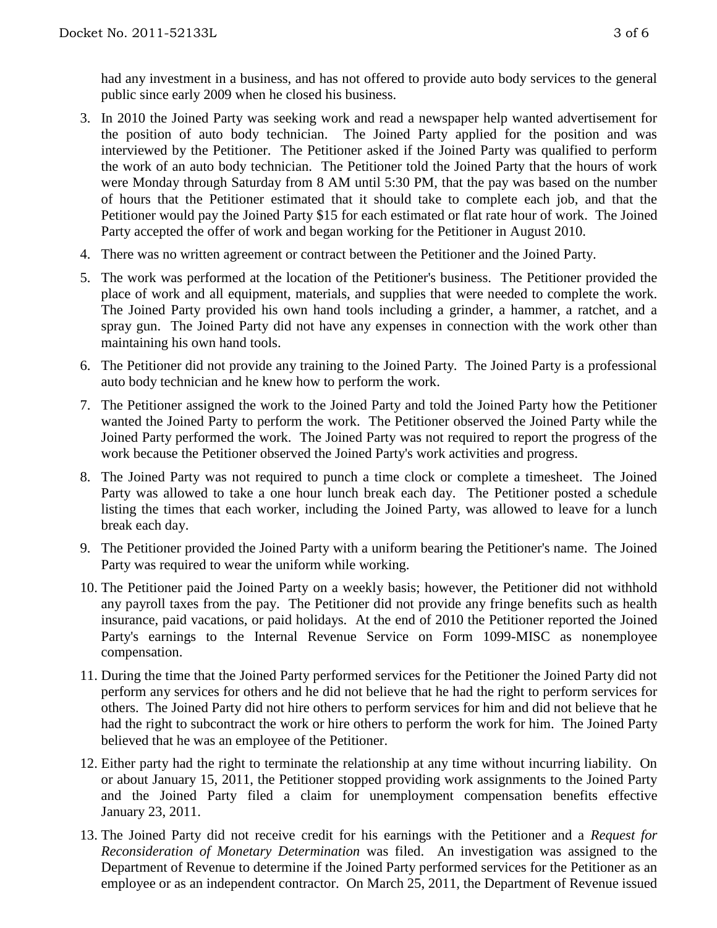had any investment in a business, and has not offered to provide auto body services to the general public since early 2009 when he closed his business.

- 3. In 2010 the Joined Party was seeking work and read a newspaper help wanted advertisement for the position of auto body technician. The Joined Party applied for the position and was interviewed by the Petitioner. The Petitioner asked if the Joined Party was qualified to perform the work of an auto body technician. The Petitioner told the Joined Party that the hours of work were Monday through Saturday from 8 AM until 5:30 PM, that the pay was based on the number of hours that the Petitioner estimated that it should take to complete each job, and that the Petitioner would pay the Joined Party \$15 for each estimated or flat rate hour of work. The Joined Party accepted the offer of work and began working for the Petitioner in August 2010.
- 4. There was no written agreement or contract between the Petitioner and the Joined Party.
- 5. The work was performed at the location of the Petitioner's business. The Petitioner provided the place of work and all equipment, materials, and supplies that were needed to complete the work. The Joined Party provided his own hand tools including a grinder, a hammer, a ratchet, and a spray gun. The Joined Party did not have any expenses in connection with the work other than maintaining his own hand tools.
- 6. The Petitioner did not provide any training to the Joined Party. The Joined Party is a professional auto body technician and he knew how to perform the work.
- 7. The Petitioner assigned the work to the Joined Party and told the Joined Party how the Petitioner wanted the Joined Party to perform the work. The Petitioner observed the Joined Party while the Joined Party performed the work. The Joined Party was not required to report the progress of the work because the Petitioner observed the Joined Party's work activities and progress.
- 8. The Joined Party was not required to punch a time clock or complete a timesheet. The Joined Party was allowed to take a one hour lunch break each day. The Petitioner posted a schedule listing the times that each worker, including the Joined Party, was allowed to leave for a lunch break each day.
- 9. The Petitioner provided the Joined Party with a uniform bearing the Petitioner's name. The Joined Party was required to wear the uniform while working.
- 10. The Petitioner paid the Joined Party on a weekly basis; however, the Petitioner did not withhold any payroll taxes from the pay. The Petitioner did not provide any fringe benefits such as health insurance, paid vacations, or paid holidays. At the end of 2010 the Petitioner reported the Joined Party's earnings to the Internal Revenue Service on Form 1099-MISC as nonemployee compensation.
- 11. During the time that the Joined Party performed services for the Petitioner the Joined Party did not perform any services for others and he did not believe that he had the right to perform services for others. The Joined Party did not hire others to perform services for him and did not believe that he had the right to subcontract the work or hire others to perform the work for him. The Joined Party believed that he was an employee of the Petitioner.
- 12. Either party had the right to terminate the relationship at any time without incurring liability. On or about January 15, 2011, the Petitioner stopped providing work assignments to the Joined Party and the Joined Party filed a claim for unemployment compensation benefits effective January 23, 2011.
- 13. The Joined Party did not receive credit for his earnings with the Petitioner and a *Request for Reconsideration of Monetary Determination* was filed. An investigation was assigned to the Department of Revenue to determine if the Joined Party performed services for the Petitioner as an employee or as an independent contractor. On March 25, 2011, the Department of Revenue issued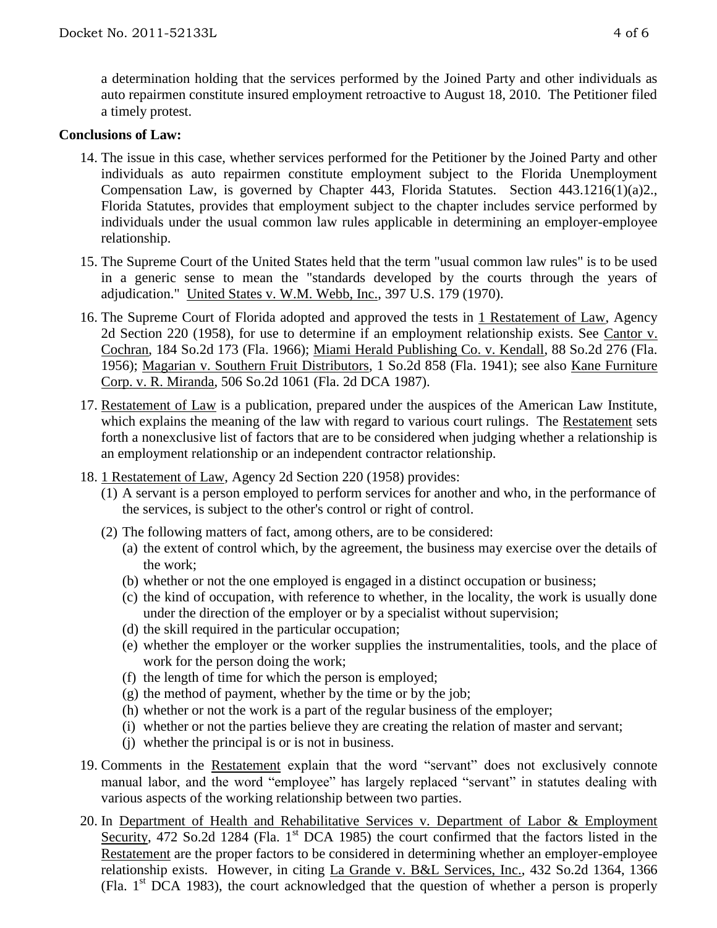a determination holding that the services performed by the Joined Party and other individuals as auto repairmen constitute insured employment retroactive to August 18, 2010. The Petitioner filed a timely protest.

## **Conclusions of Law:**

- 14. The issue in this case, whether services performed for the Petitioner by the Joined Party and other individuals as auto repairmen constitute employment subject to the Florida Unemployment Compensation Law, is governed by Chapter 443, Florida Statutes. Section 443.1216(1)(a)2., Florida Statutes, provides that employment subject to the chapter includes service performed by individuals under the usual common law rules applicable in determining an employer-employee relationship.
- 15. The Supreme Court of the United States held that the term "usual common law rules" is to be used in a generic sense to mean the "standards developed by the courts through the years of adjudication." United States v. W.M. Webb, Inc., 397 U.S. 179 (1970).
- 16. The Supreme Court of Florida adopted and approved the tests in 1 Restatement of Law, Agency 2d Section 220 (1958), for use to determine if an employment relationship exists. See Cantor v. Cochran, 184 So.2d 173 (Fla. 1966); Miami Herald Publishing Co. v. Kendall, 88 So.2d 276 (Fla. 1956); Magarian v. Southern Fruit Distributors, 1 So.2d 858 (Fla. 1941); see also Kane Furniture Corp. v. R. Miranda, 506 So.2d 1061 (Fla. 2d DCA 1987).
- 17. Restatement of Law is a publication, prepared under the auspices of the American Law Institute, which explains the meaning of the law with regard to various court rulings. The Restatement sets forth a nonexclusive list of factors that are to be considered when judging whether a relationship is an employment relationship or an independent contractor relationship.
- 18. 1 Restatement of Law, Agency 2d Section 220 (1958) provides:
	- (1) A servant is a person employed to perform services for another and who, in the performance of the services, is subject to the other's control or right of control.
	- (2) The following matters of fact, among others, are to be considered:
		- (a) the extent of control which, by the agreement, the business may exercise over the details of the work;
		- (b) whether or not the one employed is engaged in a distinct occupation or business;
		- (c) the kind of occupation, with reference to whether, in the locality, the work is usually done under the direction of the employer or by a specialist without supervision;
		- (d) the skill required in the particular occupation;
		- (e) whether the employer or the worker supplies the instrumentalities, tools, and the place of work for the person doing the work;
		- (f) the length of time for which the person is employed;
		- (g) the method of payment, whether by the time or by the job;
		- (h) whether or not the work is a part of the regular business of the employer;
		- (i) whether or not the parties believe they are creating the relation of master and servant;
		- (j) whether the principal is or is not in business.
- 19. Comments in the Restatement explain that the word "servant" does not exclusively connote manual labor, and the word "employee" has largely replaced "servant" in statutes dealing with various aspects of the working relationship between two parties.
- 20. In Department of Health and Rehabilitative Services v. Department of Labor & Employment Security, 472 So.2d 1284 (Fla. 1<sup>st</sup> DCA 1985) the court confirmed that the factors listed in the Restatement are the proper factors to be considered in determining whether an employer-employee relationship exists. However, in citing La Grande v. B&L Services, Inc., 432 So.2d 1364, 1366 (Fla.  $1<sup>st</sup> DCA$  1983), the court acknowledged that the question of whether a person is properly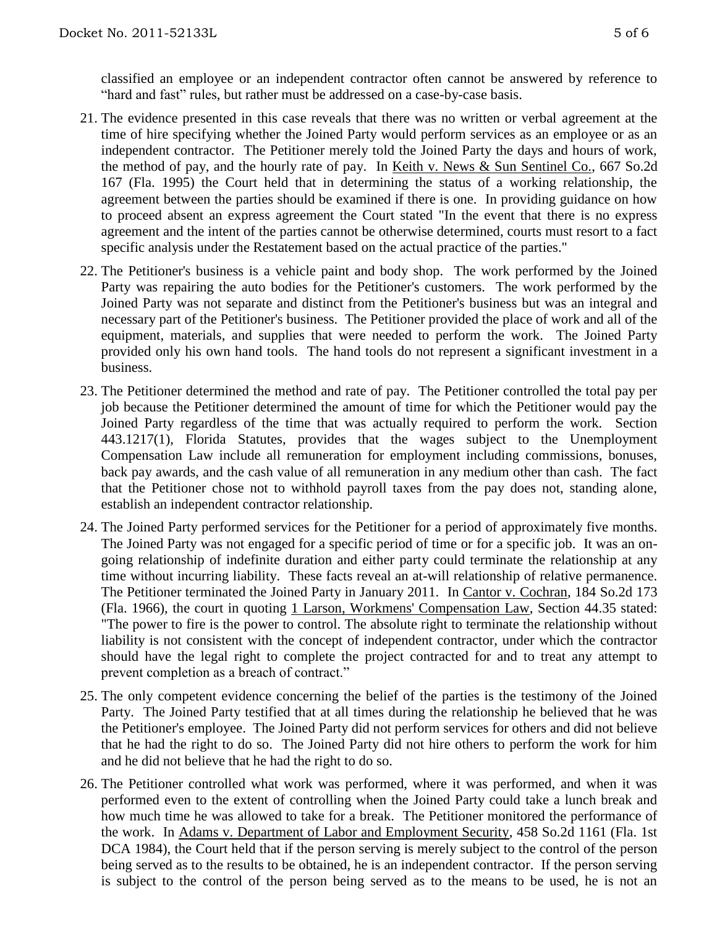classified an employee or an independent contractor often cannot be answered by reference to "hard and fast" rules, but rather must be addressed on a case-by-case basis.

- 21. The evidence presented in this case reveals that there was no written or verbal agreement at the time of hire specifying whether the Joined Party would perform services as an employee or as an independent contractor. The Petitioner merely told the Joined Party the days and hours of work, the method of pay, and the hourly rate of pay. In Keith v. News & Sun Sentinel Co., 667 So.2d 167 (Fla. 1995) the Court held that in determining the status of a working relationship, the agreement between the parties should be examined if there is one. In providing guidance on how to proceed absent an express agreement the Court stated "In the event that there is no express agreement and the intent of the parties cannot be otherwise determined, courts must resort to a fact specific analysis under the Restatement based on the actual practice of the parties."
- 22. The Petitioner's business is a vehicle paint and body shop. The work performed by the Joined Party was repairing the auto bodies for the Petitioner's customers. The work performed by the Joined Party was not separate and distinct from the Petitioner's business but was an integral and necessary part of the Petitioner's business. The Petitioner provided the place of work and all of the equipment, materials, and supplies that were needed to perform the work. The Joined Party provided only his own hand tools. The hand tools do not represent a significant investment in a business.
- 23. The Petitioner determined the method and rate of pay. The Petitioner controlled the total pay per job because the Petitioner determined the amount of time for which the Petitioner would pay the Joined Party regardless of the time that was actually required to perform the work. Section 443.1217(1), Florida Statutes, provides that the wages subject to the Unemployment Compensation Law include all remuneration for employment including commissions, bonuses, back pay awards, and the cash value of all remuneration in any medium other than cash. The fact that the Petitioner chose not to withhold payroll taxes from the pay does not, standing alone, establish an independent contractor relationship.
- 24. The Joined Party performed services for the Petitioner for a period of approximately five months. The Joined Party was not engaged for a specific period of time or for a specific job. It was an ongoing relationship of indefinite duration and either party could terminate the relationship at any time without incurring liability. These facts reveal an at-will relationship of relative permanence. The Petitioner terminated the Joined Party in January 2011. In Cantor v. Cochran, 184 So.2d 173 (Fla. 1966), the court in quoting 1 Larson, Workmens' Compensation Law, Section 44.35 stated: "The power to fire is the power to control. The absolute right to terminate the relationship without liability is not consistent with the concept of independent contractor, under which the contractor should have the legal right to complete the project contracted for and to treat any attempt to prevent completion as a breach of contract."
- 25. The only competent evidence concerning the belief of the parties is the testimony of the Joined Party. The Joined Party testified that at all times during the relationship he believed that he was the Petitioner's employee. The Joined Party did not perform services for others and did not believe that he had the right to do so. The Joined Party did not hire others to perform the work for him and he did not believe that he had the right to do so.
- 26. The Petitioner controlled what work was performed, where it was performed, and when it was performed even to the extent of controlling when the Joined Party could take a lunch break and how much time he was allowed to take for a break. The Petitioner monitored the performance of the work. In Adams v. Department of Labor and Employment Security, 458 So.2d 1161 (Fla. 1st DCA 1984), the Court held that if the person serving is merely subject to the control of the person being served as to the results to be obtained, he is an independent contractor. If the person serving is subject to the control of the person being served as to the means to be used, he is not an